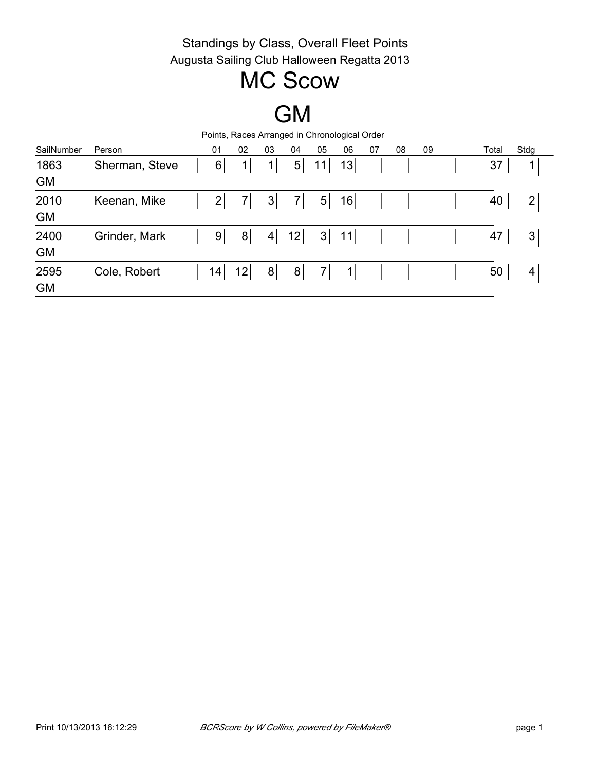## MC Scow

### **M**

Points, Races Arranged in Chronological Order

| SailNumber | Person         | 01              | 02             | 03             | 04             | 05              | 06             | 07 | 08 | 09 | Total | Stdg           |
|------------|----------------|-----------------|----------------|----------------|----------------|-----------------|----------------|----|----|----|-------|----------------|
| 1863       | Sherman, Steve | 6               | 1 <sub>1</sub> | 1              | 5 <sup>1</sup> | 11 <sub>1</sub> | 13             |    |    |    | 37    | 4              |
| <b>GM</b>  |                |                 |                |                |                |                 |                |    |    |    |       |                |
| 2010       | Keenan, Mike   | $\overline{2}$  | 7              | 3 <sup>2</sup> | 7 <sup>1</sup> | 5 <sup>1</sup>  | 16             |    |    |    | 40    | $\overline{2}$ |
| <b>GM</b>  |                |                 |                |                |                |                 |                |    |    |    |       |                |
| 2400       | Grinder, Mark  | 9               | 8 <sup>1</sup> | 4 <sup>1</sup> | 12             | 3               | 11             |    |    |    | 47    | 3              |
| <b>GM</b>  |                |                 |                |                |                |                 |                |    |    |    |       |                |
| 2595       | Cole, Robert   | 14 <sub>1</sub> | 12             | 8 <sup>1</sup> | 8 <sup>1</sup> | 7 <sub>1</sub>  | 1 <sup>1</sup> |    |    |    | 50    | 4              |
| <b>GM</b>  |                |                 |                |                |                |                 |                |    |    |    |       |                |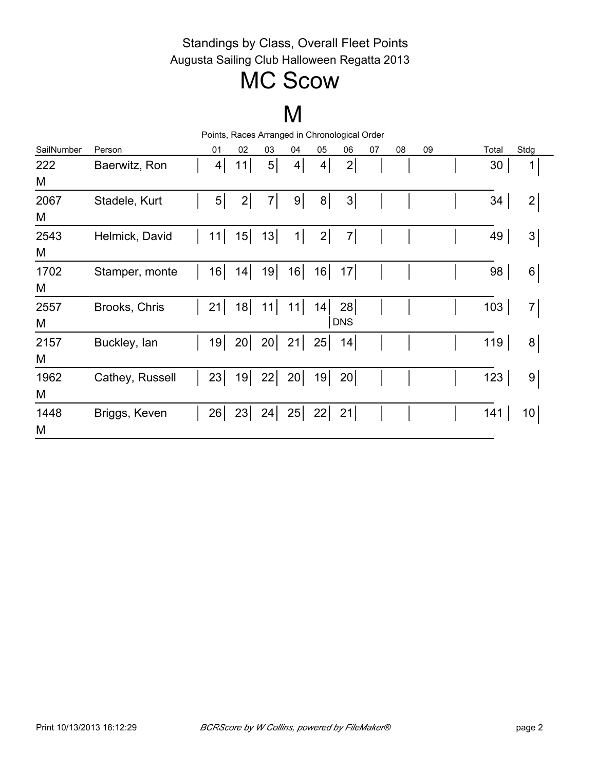# MC Scow

#### M

| Points, Races Arranged in Chronological Order |                 |                 |    |                |                |                |                  |    |    |    |  |       |                 |
|-----------------------------------------------|-----------------|-----------------|----|----------------|----------------|----------------|------------------|----|----|----|--|-------|-----------------|
| SailNumber                                    | Person          | 01              | 02 | 03             | 04             | 05             | 06               | 07 | 08 | 09 |  | Total | Stdg            |
| 222<br>M                                      | Baerwitz, Ron   | $\vert 4 \vert$ | 11 | 5 <sub>l</sub> | 4 <sup>1</sup> | $\overline{4}$ | $\mathbf{2}$     |    |    |    |  | 30    | 1               |
| 2067<br>M                                     | Stadele, Kurt   | 5 <sup>1</sup>  | 2  | $\overline{7}$ | 9 <sup>1</sup> | 8 <sup>1</sup> | 3 <sup>1</sup>   |    |    |    |  | 34    | 2               |
| 2543<br>M                                     | Helmick, David  | 11              | 15 | 13             | 1              | $\overline{2}$ | $\overline{7}$   |    |    |    |  | 49    | 3               |
| 1702<br>M                                     | Stamper, monte  | 16              | 14 | 19             | 16             | 16             | 17               |    |    |    |  | 98    | $6 \mid$        |
| 2557<br>M                                     | Brooks, Chris   | 21              | 18 | 11             | 11             | 14             | 28<br><b>DNS</b> |    |    |    |  | 103   | 7               |
| 2157<br>M                                     | Buckley, lan    | 19              | 20 | 20             | 21             | 25             | 14               |    |    |    |  | 119   | 8 <sup>1</sup>  |
| 1962<br>M                                     | Cathey, Russell | 23              | 19 | 22             | 20             | 19             | 20               |    |    |    |  | 123   | 9 <sup>1</sup>  |
| 1448<br>M                                     | Briggs, Keven   | 26              | 23 | 24             | 25             | 22             | 21               |    |    |    |  | 141   | 10 <sup>1</sup> |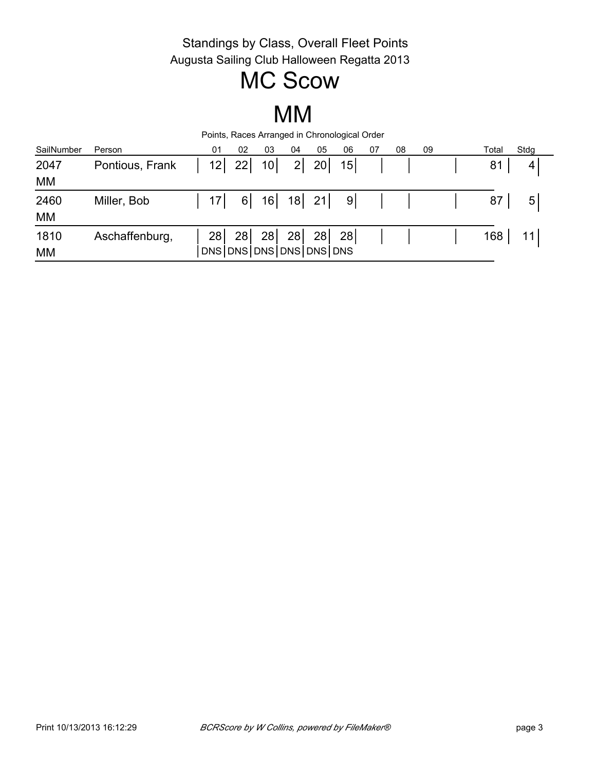## MC Scow

### MM

Points, Races Arranged in Chronological Order

| SailNumber | Person          | 01                                         | 02 | 03              | 04             | 05 | 06  | 07 | 08 | 09 | Total | Stdg |
|------------|-----------------|--------------------------------------------|----|-----------------|----------------|----|-----|----|----|----|-------|------|
| 2047<br>MM | Pontious, Frank | 12                                         | 22 | 10 <sup>1</sup> | 2 <sub>1</sub> | 20 | 15  |    |    |    | 81    | 4    |
| 2460<br>MM | Miller, Bob     | 17                                         | 6  | 16              | 18             | 21 | 9   |    |    |    | 87    | 5    |
| 1810<br>МM | Aschaffenburg,  | 28 <sub>1</sub><br>DNS DNS DNS DNS DNS DNS | 28 | 28              | 28             | 28 | 281 |    |    |    | 168   | 11   |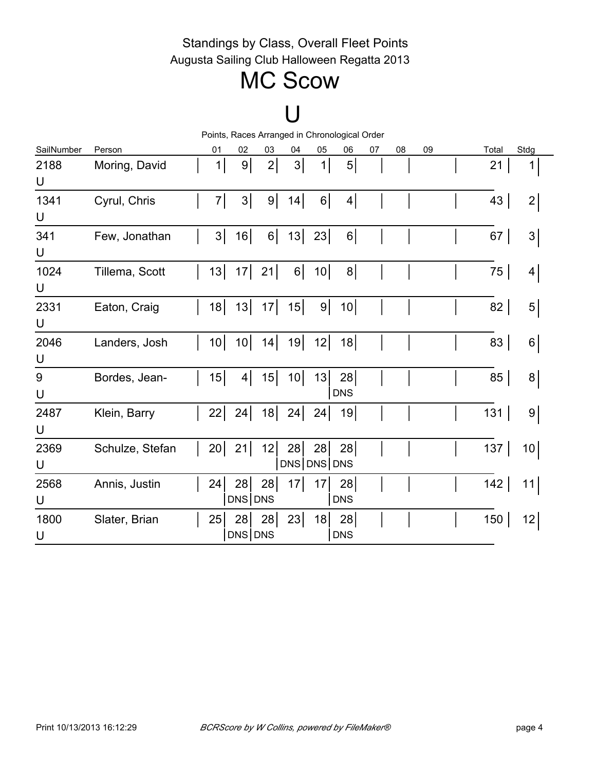## MC Scow

#### $\mathbf{U}$

| Points, Races Arranged in Chronological Order |                 |                 |                |          |                 |                   |                  |    |    |    |  |       |                 |
|-----------------------------------------------|-----------------|-----------------|----------------|----------|-----------------|-------------------|------------------|----|----|----|--|-------|-----------------|
| SailNumber                                    | Person          | 01              | 02             | 03       | 04              | 05                | 06               | 07 | 08 | 09 |  | Total | Stdg            |
| 2188<br>U                                     | Moring, David   | 1               | 9              | $2\vert$ | 3 <sup>1</sup>  | 1                 | 5 <sup>1</sup>   |    |    |    |  | 21    | $\mathbf 1$     |
| 1341<br>U                                     | Cyrul, Chris    | 7               | 3 <sup>1</sup> | 9        | 14              | 6 <sup>1</sup>    | 4                |    |    |    |  | 43    | $\overline{2}$  |
| 341<br>U                                      | Few, Jonathan   | 3 <sup>2</sup>  | 16             | $6 \mid$ | 13              | 23                | 6 <sup>1</sup>   |    |    |    |  | 67    | $3\vert$        |
| 1024<br>U                                     | Tillema, Scott  | 13              | 17             | 21       | $6 \mid$        | 10 <sub>l</sub>   | 8 <sup>1</sup>   |    |    |    |  | 75    | 4               |
| 2331<br>U                                     | Eaton, Craig    | 18              | 13             | 17       | 15              | 9                 | 10               |    |    |    |  | 82    | 5               |
| 2046<br>U                                     | Landers, Josh   | 10 <sup>1</sup> | 10             | 14       | 19              | 12                | 18               |    |    |    |  | 83    | 6               |
| 9<br>U                                        | Bordes, Jean-   | 15              | 4              | 15       | 10 <sup>1</sup> | 13                | 28<br><b>DNS</b> |    |    |    |  | 85    | 8               |
| 2487<br>U                                     | Klein, Barry    | 22              | 24             | 18       | 24              | 24                | 19               |    |    |    |  | 131   | 9               |
| 2369<br>U                                     | Schulze, Stefan | 20              | 21             | 12       | 28              | 28<br>DNS DNS DNS | 28               |    |    |    |  | 137   | 10 <sup>1</sup> |
| 2568<br>U                                     | Annis, Justin   | 24              | 28<br>DNS DNS  | 28       | 17              | 17                | 28<br><b>DNS</b> |    |    |    |  | 142   | 11              |
| 1800<br>U                                     | Slater, Brian   | 25              | 28<br>DNS DNS  | 28       | 23              | 18                | 28<br><b>DNS</b> |    |    |    |  | 150   | $12 \mid$       |

Points, Races Arranged in Chronological Order